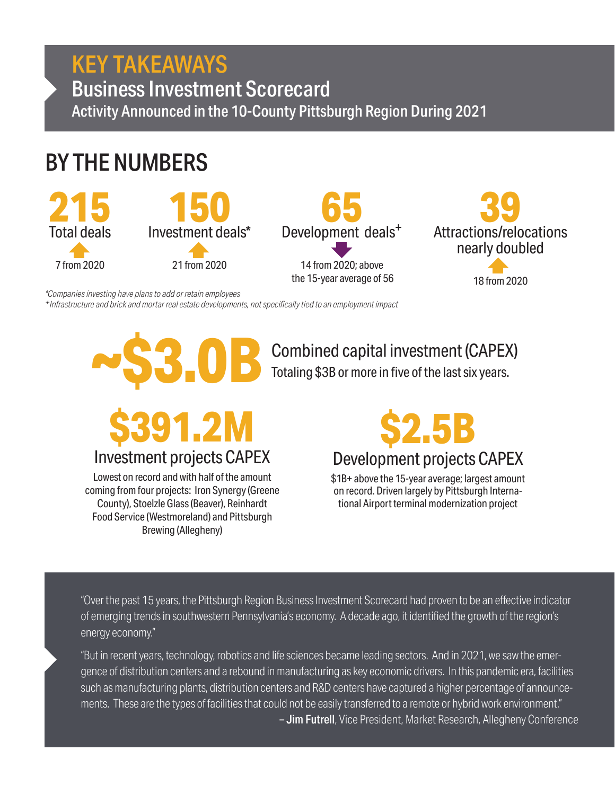# KEY TAKEAWAYS

Business Investment Scorecard Activity Announced in the 10-County Pittsburgh Region During 2021

# BY THE NUMBERS







*\*Companies investing have plans to add or retain employees*

*+Infrastructure and brick and mortar real estate developments, not specifically tied to an employment impact*



Totaling \$3B or more in five of the last six years.



Investment projects CAPEX

Lowest on record and with half of the amount coming from four projects: Iron Synergy (Greene County), Stoelzle Glass (Beaver), Reinhardt Food Service (Westmoreland) and Pittsburgh Brewing (Allegheny)



## Development projects CAPEX

\$1B+ above the 15-year average; largest amount on record. Driven largely by Pittsburgh International Airport terminal modernization project

"Over the past 15 years, the Pittsburgh Region Business Investment Scorecard had proven to be an effective indicator of emerging trends in southwestern Pennsylvania's economy. A decade ago, it identified the growth of the region's energy economy."

"But in recent years, technology, robotics and life sciences became leading sectors. And in 2021, we saw the emergence of distribution centers and a rebound in manufacturing as key economic drivers. In this pandemic era, facilities such as manufacturing plants, distribution centers and R&D centers have captured a higher percentage of announcements. These are the types of facilities that could not be easily transferred to a remote or hybrid work environment." - Jim Futrell, Vice President, Market Research, Allegheny Conference